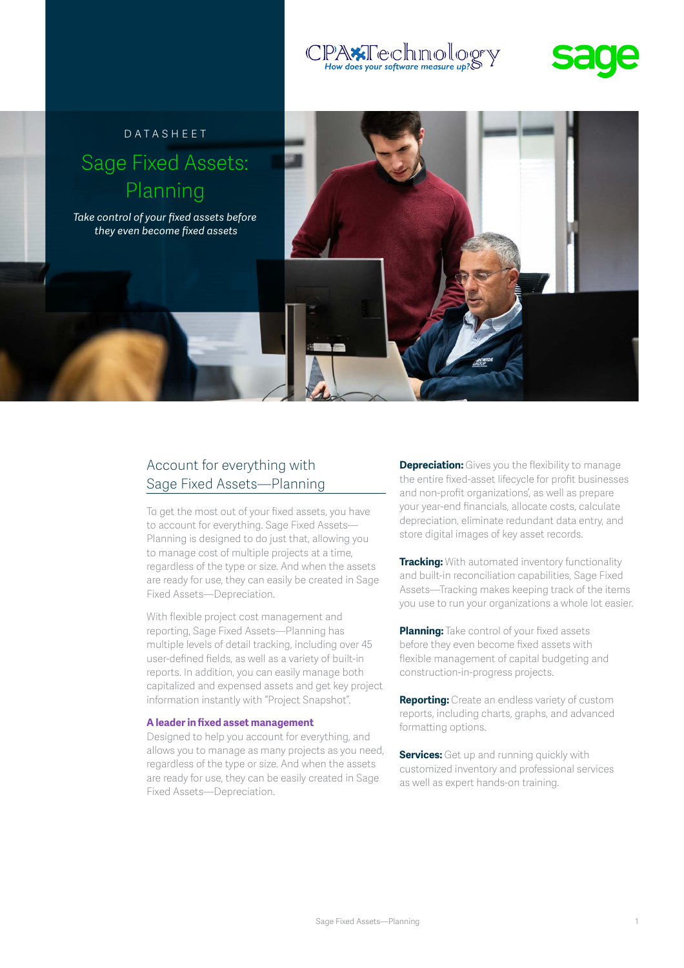## :PAxTechnolog How does your software measure up?



# Datasheet Sage Fixed Assets: Planning

*Take control of your fixed assets before they even become fixed assets*



To get the most out of your fixed assets, you have to account for everything. Sage Fixed Assets— Planning is designed to do just that, allowing you to manage cost of multiple projects at a time, regardless of the type or size. And when the assets are ready for use, they can easily be created in Sage Fixed Assets—Depreciation.

With flexible project cost management and reporting, Sage Fixed Assets—Planning has multiple levels of detail tracking, including over 45 user-defined fields, as well as a variety of built-in reports. In addition, you can easily manage both capitalized and expensed assets and get key project information instantly with "Project Snapshot".

#### **A leader in fixed asset management**

Designed to help you account for everything, and allows you to manage as many projects as you need, regardless of the type or size. And when the assets are ready for use, they can be easily created in Sage Fixed Assets—Depreciation.

**Depreciation:** Gives you the flexibility to manage the entire fixed-asset lifecycle for profit businesses and non-profit organizations', as well as prepare your year-end financials, allocate costs, calculate depreciation, eliminate redundant data entry, and store digital images of key asset records.

**Tracking:** With automated inventory functionality and built-in reconciliation capabilities, Sage Fixed Assets—Tracking makes keeping track of the items you use to run your organizations a whole lot easier.

**Planning:** Take control of your fixed assets before they even become fixed assets with flexible management of capital budgeting and construction-in-progress projects.

**Reporting:** Create an endless variety of custom reports, including charts, graphs, and advanced formatting options.

**Services:** Get up and running quickly with customized inventory and professional services as well as expert hands-on training.